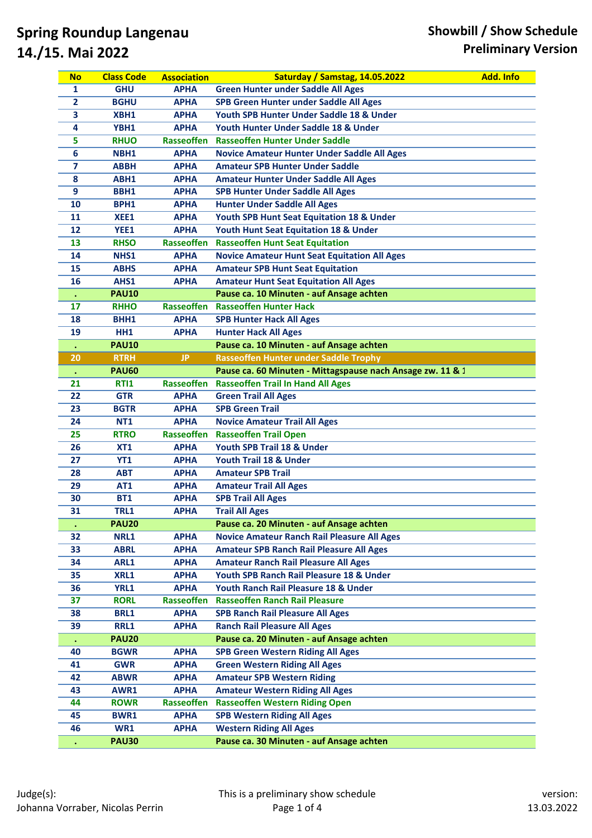| <b>No</b>      | <b>Class Code</b> | <b>Association</b> | <b>Saturday / Samstag, 14.05.2022</b>                      | <b>Add. Info</b> |
|----------------|-------------------|--------------------|------------------------------------------------------------|------------------|
| 1              | <b>GHU</b>        | <b>APHA</b>        | <b>Green Hunter under Saddle All Ages</b>                  |                  |
| $\overline{2}$ | <b>BGHU</b>       | <b>APHA</b>        | SPB Green Hunter under Saddle All Ages                     |                  |
| 3              | XBH1              | <b>APHA</b>        | Youth SPB Hunter Under Saddle 18 & Under                   |                  |
| 4              | YBH1              | <b>APHA</b>        | Youth Hunter Under Saddle 18 & Under                       |                  |
| 5              | <b>RHUO</b>       | Rasseoffen         | <b>Rasseoffen Hunter Under Saddle</b>                      |                  |
| 6              | NBH1              | <b>APHA</b>        | <b>Novice Amateur Hunter Under Saddle All Ages</b>         |                  |
| $\overline{7}$ | <b>ABBH</b>       | <b>APHA</b>        | <b>Amateur SPB Hunter Under Saddle</b>                     |                  |
| 8              | ABH1              | <b>APHA</b>        | <b>Amateur Hunter Under Saddle All Ages</b>                |                  |
| 9              | BBH1              | <b>APHA</b>        | <b>SPB Hunter Under Saddle All Ages</b>                    |                  |
| 10             | BPH1              | <b>APHA</b>        | <b>Hunter Under Saddle All Ages</b>                        |                  |
| 11             | XEE1              | <b>APHA</b>        | Youth SPB Hunt Seat Equitation 18 & Under                  |                  |
| 12             | YEE1              | <b>APHA</b>        | <b>Youth Hunt Seat Equitation 18 &amp; Under</b>           |                  |
| 13             | <b>RHSO</b>       | Rasseoffen         | <b>Rasseoffen Hunt Seat Equitation</b>                     |                  |
| 14             | NHS1              | <b>APHA</b>        | <b>Novice Amateur Hunt Seat Equitation All Ages</b>        |                  |
| 15             | <b>ABHS</b>       | <b>APHA</b>        | <b>Amateur SPB Hunt Seat Equitation</b>                    |                  |
| 16             | AHS1              | <b>APHA</b>        | <b>Amateur Hunt Seat Equitation All Ages</b>               |                  |
|                | <b>PAU10</b>      |                    | Pause ca. 10 Minuten - auf Ansage achten                   |                  |
| 17             | <b>RHHO</b>       |                    | Rasseoffen Rasseoffen Hunter Hack                          |                  |
| 18             | BHH1              | <b>APHA</b>        | <b>SPB Hunter Hack All Ages</b>                            |                  |
| 19             | HH1               | <b>APHA</b>        | <b>Hunter Hack All Ages</b>                                |                  |
|                | <b>PAU10</b>      |                    | Pause ca. 10 Minuten - auf Ansage achten                   |                  |
| 20             | <b>RTRH</b>       | <b>JP</b>          | <b>Rasseoffen Hunter under Saddle Trophy</b>               |                  |
| $\bullet$      | <b>PAU60</b>      |                    | Pause ca. 60 Minuten - Mittagspause nach Ansage zw. 11 & 1 |                  |
| 21             | <b>RTI1</b>       |                    | Rasseoffen Rasseoffen Trail In Hand All Ages               |                  |
| 22             | <b>GTR</b>        | <b>APHA</b>        | <b>Green Trail All Ages</b>                                |                  |
| 23             | <b>BGTR</b>       | <b>APHA</b>        | <b>SPB Green Trail</b>                                     |                  |
| 24             | <b>NT1</b>        | <b>APHA</b>        | <b>Novice Amateur Trail All Ages</b>                       |                  |
| 25             | <b>RTRO</b>       | Rasseoffen         | <b>Rasseoffen Trail Open</b>                               |                  |
| 26             | XT1               | <b>APHA</b>        | Youth SPB Trail 18 & Under                                 |                  |
| 27             | <b>YT1</b>        | <b>APHA</b>        | Youth Trail 18 & Under                                     |                  |
| 28             | <b>ABT</b>        | <b>APHA</b>        | <b>Amateur SPB Trail</b>                                   |                  |
| 29             | <b>AT1</b>        | <b>APHA</b>        | <b>Amateur Trail All Ages</b>                              |                  |
| 30             | <b>BT1</b>        | <b>APHA</b>        | <b>SPB Trail All Ages</b>                                  |                  |
| 31             | TRL1              | APHA               | <b>Trail All Ages</b>                                      |                  |
|                | <b>PAU20</b>      |                    | Pause ca. 20 Minuten - auf Ansage achten                   |                  |
| 32             | NRL1              | <b>APHA</b>        | <b>Novice Amateur Ranch Rail Pleasure All Ages</b>         |                  |
| 33             | <b>ABRL</b>       | <b>APHA</b>        | <b>Amateur SPB Ranch Rail Pleasure All Ages</b>            |                  |
| 34             | ARL1              | <b>APHA</b>        | <b>Amateur Ranch Rail Pleasure All Ages</b>                |                  |
| 35             | XRL1              | <b>APHA</b>        | Youth SPB Ranch Rail Pleasure 18 & Under                   |                  |
| 36             | <b>YRL1</b>       | <b>APHA</b>        | Youth Ranch Rail Pleasure 18 & Under                       |                  |
| 37             | <b>RORL</b>       | Rasseoffen         | <b>Rasseoffen Ranch Rail Pleasure</b>                      |                  |
| 38             | <b>BRL1</b>       | <b>APHA</b>        | <b>SPB Ranch Rail Pleasure All Ages</b>                    |                  |
| 39             | RRL1              | <b>APHA</b>        | <b>Ranch Rail Pleasure All Ages</b>                        |                  |
|                | <b>PAU20</b>      |                    | Pause ca. 20 Minuten - auf Ansage achten                   |                  |
| 40             | <b>BGWR</b>       | <b>APHA</b>        | <b>SPB Green Western Riding All Ages</b>                   |                  |
| 41             | <b>GWR</b>        | <b>APHA</b>        | <b>Green Western Riding All Ages</b>                       |                  |
| 42             | <b>ABWR</b>       | <b>APHA</b>        | <b>Amateur SPB Western Riding</b>                          |                  |
| 43             | AWR1              | <b>APHA</b>        | <b>Amateur Western Riding All Ages</b>                     |                  |
| 44             | <b>ROWR</b>       | Rasseoffen         | <b>Rasseoffen Western Riding Open</b>                      |                  |
| 45             | <b>BWR1</b>       | <b>APHA</b>        | <b>SPB Western Riding All Ages</b>                         |                  |
| 46             | WR1               | <b>APHA</b>        | <b>Western Riding All Ages</b>                             |                  |
|                | <b>PAU30</b>      |                    | Pause ca. 30 Minuten - auf Ansage achten                   |                  |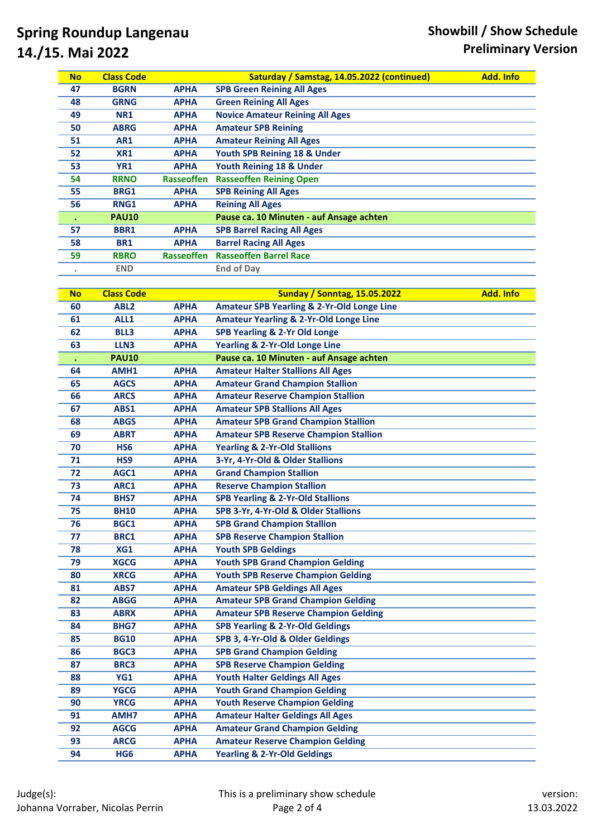| <b>BGRN</b><br><b>SPB Green Reining All Ages</b><br>47<br><b>APHA</b><br><b>Green Reining All Ages</b><br><b>GRNG</b><br><b>APHA</b><br>48<br><b>Novice Amateur Reining All Ages</b><br>49<br><b>NR1</b><br><b>APHA</b><br>50<br><b>ABRG</b><br><b>APHA</b><br><b>Amateur SPB Reining</b><br>51<br>AR1<br><b>Amateur Reining All Ages</b><br><b>APHA</b><br>XR1<br>Youth SPB Reining 18 & Under<br>52<br><b>APHA</b><br>Youth Reining 18 & Under<br>53<br><b>YR1</b><br><b>APHA</b><br><b>RRNO</b><br>Rasseoffen<br><b>Rasseoffen Reining Open</b><br>54<br><b>SPB Reining All Ages</b><br>55<br>BRG1<br><b>APHA</b><br><b>Reining All Ages</b><br>RNG1<br>56<br><b>APHA</b><br>Pause ca. 10 Minuten - auf Ansage achten<br><b>PAU10</b><br>$\bullet$<br><b>APHA</b><br>57<br><b>SPB Barrel Racing All Ages</b><br>BBR1<br>58<br><b>BR1</b><br><b>APHA</b><br><b>Barrel Racing All Ages</b><br><b>Rasseoffen Barrel Race</b><br>59<br><b>RBRO</b><br>Rasseoffen<br><b>End of Day</b><br><b>END</b><br><b>Class Code</b><br><b>Sunday / Sonntag, 15.05.2022</b><br><b>Add. Info</b><br><b>No</b><br><b>APHA</b><br><b>Amateur SPB Yearling &amp; 2-Yr-Old Longe Line</b><br>ABL <sub>2</sub><br>60<br><b>Amateur Yearling &amp; 2-Yr-Old Longe Line</b><br>61<br>ALL1<br><b>APHA</b><br><b>SPB Yearling &amp; 2-Yr Old Longe</b><br>62<br><b>BLL3</b><br><b>APHA</b><br><b>Yearling &amp; 2-Yr-Old Longe Line</b><br>63<br>LLN3<br><b>APHA</b><br>Pause ca. 10 Minuten - auf Ansage achten<br><b>PAU10</b><br><b>Amateur Halter Stallions All Ages</b><br>64<br>AMH1<br><b>APHA</b><br><b>Amateur Grand Champion Stallion</b><br>65<br><b>AGCS</b><br><b>APHA</b><br><b>Amateur Reserve Champion Stallion</b><br>66<br><b>ARCS</b><br><b>APHA</b><br><b>Amateur SPB Stallions All Ages</b><br>67<br>ABS1<br><b>APHA</b><br><b>Amateur SPB Grand Champion Stallion</b><br><b>ABGS</b><br><b>APHA</b><br>68<br><b>ABRT</b><br><b>APHA</b><br><b>Amateur SPB Reserve Champion Stallion</b><br>69<br><b>Yearling &amp; 2-Yr-Old Stallions</b><br>70<br>HS <sub>6</sub><br><b>APHA</b><br>3-Yr, 4-Yr-Old & Older Stallions<br>71<br>HS9<br><b>APHA</b><br><b>Grand Champion Stallion</b><br>72<br>AGC1<br><b>APHA</b><br><b>Reserve Champion Stallion</b><br>73<br>ARC1<br><b>APHA</b><br><b>SPB Yearling &amp; 2-Yr-Old Stallions</b><br>74<br>BHS7<br><b>APHA</b><br>SPB 3-Yr, 4-Yr-Old & Older Stallions<br>75<br><b>BH10</b><br><b>APHA</b><br>76<br>BGC1<br><b>APHA</b><br><b>SPB Grand Champion Stallion</b><br><b>SPB Reserve Champion Stallion</b><br>77<br><b>BRC1</b><br><b>APHA</b><br>78<br>XG1<br><b>APHA</b><br><b>Youth SPB Geldings</b><br>79<br><b>XGCG</b><br><b>Youth SPB Grand Champion Gelding</b><br><b>APHA</b><br>80<br><b>XRCG</b><br><b>APHA</b><br><b>Youth SPB Reserve Champion Gelding</b><br><b>Amateur SPB Geldings All Ages</b><br>81<br>ABS7<br><b>APHA</b><br><b>ABGG</b><br><b>APHA</b><br><b>Amateur SPB Grand Champion Gelding</b><br>82<br><b>Amateur SPB Reserve Champion Gelding</b><br>83<br><b>ABRX</b><br><b>APHA</b><br>84<br><b>BHG7</b><br><b>APHA</b><br><b>SPB Yearling &amp; 2-Yr-Old Geldings</b><br>85<br><b>BG10</b><br><b>APHA</b><br>SPB 3, 4-Yr-Old & Older Geldings<br>86<br>BGC3<br><b>APHA</b><br><b>SPB Grand Champion Gelding</b><br><b>SPB Reserve Champion Gelding</b><br>87<br><b>BRC3</b><br><b>APHA</b><br>88<br>YG1<br><b>Youth Halter Geldings All Ages</b><br><b>APHA</b><br><b>Youth Grand Champion Gelding</b><br>89<br><b>YGCG</b><br><b>APHA</b> | <b>No</b> | <b>Class Code</b> | Saturday / Samstag, 14.05.2022 (continued) | <b>Add. Info</b> |
|--------------------------------------------------------------------------------------------------------------------------------------------------------------------------------------------------------------------------------------------------------------------------------------------------------------------------------------------------------------------------------------------------------------------------------------------------------------------------------------------------------------------------------------------------------------------------------------------------------------------------------------------------------------------------------------------------------------------------------------------------------------------------------------------------------------------------------------------------------------------------------------------------------------------------------------------------------------------------------------------------------------------------------------------------------------------------------------------------------------------------------------------------------------------------------------------------------------------------------------------------------------------------------------------------------------------------------------------------------------------------------------------------------------------------------------------------------------------------------------------------------------------------------------------------------------------------------------------------------------------------------------------------------------------------------------------------------------------------------------------------------------------------------------------------------------------------------------------------------------------------------------------------------------------------------------------------------------------------------------------------------------------------------------------------------------------------------------------------------------------------------------------------------------------------------------------------------------------------------------------------------------------------------------------------------------------------------------------------------------------------------------------------------------------------------------------------------------------------------------------------------------------------------------------------------------------------------------------------------------------------------------------------------------------------------------------------------------------------------------------------------------------------------------------------------------------------------------------------------------------------------------------------------------------------------------------------------------------------------------------------------------------------------------------------------------------------------------------------------------------------------------------------------------------------------------------------------------------------------------------------------------------------------------------------------------------------------------------------------------------------------------------------------------------------------------------------------------------------------------------------------------------|-----------|-------------------|--------------------------------------------|------------------|
|                                                                                                                                                                                                                                                                                                                                                                                                                                                                                                                                                                                                                                                                                                                                                                                                                                                                                                                                                                                                                                                                                                                                                                                                                                                                                                                                                                                                                                                                                                                                                                                                                                                                                                                                                                                                                                                                                                                                                                                                                                                                                                                                                                                                                                                                                                                                                                                                                                                                                                                                                                                                                                                                                                                                                                                                                                                                                                                                                                                                                                                                                                                                                                                                                                                                                                                                                                                                                                                                                                                    |           |                   |                                            |                  |
|                                                                                                                                                                                                                                                                                                                                                                                                                                                                                                                                                                                                                                                                                                                                                                                                                                                                                                                                                                                                                                                                                                                                                                                                                                                                                                                                                                                                                                                                                                                                                                                                                                                                                                                                                                                                                                                                                                                                                                                                                                                                                                                                                                                                                                                                                                                                                                                                                                                                                                                                                                                                                                                                                                                                                                                                                                                                                                                                                                                                                                                                                                                                                                                                                                                                                                                                                                                                                                                                                                                    |           |                   |                                            |                  |
|                                                                                                                                                                                                                                                                                                                                                                                                                                                                                                                                                                                                                                                                                                                                                                                                                                                                                                                                                                                                                                                                                                                                                                                                                                                                                                                                                                                                                                                                                                                                                                                                                                                                                                                                                                                                                                                                                                                                                                                                                                                                                                                                                                                                                                                                                                                                                                                                                                                                                                                                                                                                                                                                                                                                                                                                                                                                                                                                                                                                                                                                                                                                                                                                                                                                                                                                                                                                                                                                                                                    |           |                   |                                            |                  |
|                                                                                                                                                                                                                                                                                                                                                                                                                                                                                                                                                                                                                                                                                                                                                                                                                                                                                                                                                                                                                                                                                                                                                                                                                                                                                                                                                                                                                                                                                                                                                                                                                                                                                                                                                                                                                                                                                                                                                                                                                                                                                                                                                                                                                                                                                                                                                                                                                                                                                                                                                                                                                                                                                                                                                                                                                                                                                                                                                                                                                                                                                                                                                                                                                                                                                                                                                                                                                                                                                                                    |           |                   |                                            |                  |
|                                                                                                                                                                                                                                                                                                                                                                                                                                                                                                                                                                                                                                                                                                                                                                                                                                                                                                                                                                                                                                                                                                                                                                                                                                                                                                                                                                                                                                                                                                                                                                                                                                                                                                                                                                                                                                                                                                                                                                                                                                                                                                                                                                                                                                                                                                                                                                                                                                                                                                                                                                                                                                                                                                                                                                                                                                                                                                                                                                                                                                                                                                                                                                                                                                                                                                                                                                                                                                                                                                                    |           |                   |                                            |                  |
|                                                                                                                                                                                                                                                                                                                                                                                                                                                                                                                                                                                                                                                                                                                                                                                                                                                                                                                                                                                                                                                                                                                                                                                                                                                                                                                                                                                                                                                                                                                                                                                                                                                                                                                                                                                                                                                                                                                                                                                                                                                                                                                                                                                                                                                                                                                                                                                                                                                                                                                                                                                                                                                                                                                                                                                                                                                                                                                                                                                                                                                                                                                                                                                                                                                                                                                                                                                                                                                                                                                    |           |                   |                                            |                  |
|                                                                                                                                                                                                                                                                                                                                                                                                                                                                                                                                                                                                                                                                                                                                                                                                                                                                                                                                                                                                                                                                                                                                                                                                                                                                                                                                                                                                                                                                                                                                                                                                                                                                                                                                                                                                                                                                                                                                                                                                                                                                                                                                                                                                                                                                                                                                                                                                                                                                                                                                                                                                                                                                                                                                                                                                                                                                                                                                                                                                                                                                                                                                                                                                                                                                                                                                                                                                                                                                                                                    |           |                   |                                            |                  |
|                                                                                                                                                                                                                                                                                                                                                                                                                                                                                                                                                                                                                                                                                                                                                                                                                                                                                                                                                                                                                                                                                                                                                                                                                                                                                                                                                                                                                                                                                                                                                                                                                                                                                                                                                                                                                                                                                                                                                                                                                                                                                                                                                                                                                                                                                                                                                                                                                                                                                                                                                                                                                                                                                                                                                                                                                                                                                                                                                                                                                                                                                                                                                                                                                                                                                                                                                                                                                                                                                                                    |           |                   |                                            |                  |
|                                                                                                                                                                                                                                                                                                                                                                                                                                                                                                                                                                                                                                                                                                                                                                                                                                                                                                                                                                                                                                                                                                                                                                                                                                                                                                                                                                                                                                                                                                                                                                                                                                                                                                                                                                                                                                                                                                                                                                                                                                                                                                                                                                                                                                                                                                                                                                                                                                                                                                                                                                                                                                                                                                                                                                                                                                                                                                                                                                                                                                                                                                                                                                                                                                                                                                                                                                                                                                                                                                                    |           |                   |                                            |                  |
|                                                                                                                                                                                                                                                                                                                                                                                                                                                                                                                                                                                                                                                                                                                                                                                                                                                                                                                                                                                                                                                                                                                                                                                                                                                                                                                                                                                                                                                                                                                                                                                                                                                                                                                                                                                                                                                                                                                                                                                                                                                                                                                                                                                                                                                                                                                                                                                                                                                                                                                                                                                                                                                                                                                                                                                                                                                                                                                                                                                                                                                                                                                                                                                                                                                                                                                                                                                                                                                                                                                    |           |                   |                                            |                  |
|                                                                                                                                                                                                                                                                                                                                                                                                                                                                                                                                                                                                                                                                                                                                                                                                                                                                                                                                                                                                                                                                                                                                                                                                                                                                                                                                                                                                                                                                                                                                                                                                                                                                                                                                                                                                                                                                                                                                                                                                                                                                                                                                                                                                                                                                                                                                                                                                                                                                                                                                                                                                                                                                                                                                                                                                                                                                                                                                                                                                                                                                                                                                                                                                                                                                                                                                                                                                                                                                                                                    |           |                   |                                            |                  |
|                                                                                                                                                                                                                                                                                                                                                                                                                                                                                                                                                                                                                                                                                                                                                                                                                                                                                                                                                                                                                                                                                                                                                                                                                                                                                                                                                                                                                                                                                                                                                                                                                                                                                                                                                                                                                                                                                                                                                                                                                                                                                                                                                                                                                                                                                                                                                                                                                                                                                                                                                                                                                                                                                                                                                                                                                                                                                                                                                                                                                                                                                                                                                                                                                                                                                                                                                                                                                                                                                                                    |           |                   |                                            |                  |
|                                                                                                                                                                                                                                                                                                                                                                                                                                                                                                                                                                                                                                                                                                                                                                                                                                                                                                                                                                                                                                                                                                                                                                                                                                                                                                                                                                                                                                                                                                                                                                                                                                                                                                                                                                                                                                                                                                                                                                                                                                                                                                                                                                                                                                                                                                                                                                                                                                                                                                                                                                                                                                                                                                                                                                                                                                                                                                                                                                                                                                                                                                                                                                                                                                                                                                                                                                                                                                                                                                                    |           |                   |                                            |                  |
|                                                                                                                                                                                                                                                                                                                                                                                                                                                                                                                                                                                                                                                                                                                                                                                                                                                                                                                                                                                                                                                                                                                                                                                                                                                                                                                                                                                                                                                                                                                                                                                                                                                                                                                                                                                                                                                                                                                                                                                                                                                                                                                                                                                                                                                                                                                                                                                                                                                                                                                                                                                                                                                                                                                                                                                                                                                                                                                                                                                                                                                                                                                                                                                                                                                                                                                                                                                                                                                                                                                    |           |                   |                                            |                  |
|                                                                                                                                                                                                                                                                                                                                                                                                                                                                                                                                                                                                                                                                                                                                                                                                                                                                                                                                                                                                                                                                                                                                                                                                                                                                                                                                                                                                                                                                                                                                                                                                                                                                                                                                                                                                                                                                                                                                                                                                                                                                                                                                                                                                                                                                                                                                                                                                                                                                                                                                                                                                                                                                                                                                                                                                                                                                                                                                                                                                                                                                                                                                                                                                                                                                                                                                                                                                                                                                                                                    |           |                   |                                            |                  |
|                                                                                                                                                                                                                                                                                                                                                                                                                                                                                                                                                                                                                                                                                                                                                                                                                                                                                                                                                                                                                                                                                                                                                                                                                                                                                                                                                                                                                                                                                                                                                                                                                                                                                                                                                                                                                                                                                                                                                                                                                                                                                                                                                                                                                                                                                                                                                                                                                                                                                                                                                                                                                                                                                                                                                                                                                                                                                                                                                                                                                                                                                                                                                                                                                                                                                                                                                                                                                                                                                                                    |           |                   |                                            |                  |
|                                                                                                                                                                                                                                                                                                                                                                                                                                                                                                                                                                                                                                                                                                                                                                                                                                                                                                                                                                                                                                                                                                                                                                                                                                                                                                                                                                                                                                                                                                                                                                                                                                                                                                                                                                                                                                                                                                                                                                                                                                                                                                                                                                                                                                                                                                                                                                                                                                                                                                                                                                                                                                                                                                                                                                                                                                                                                                                                                                                                                                                                                                                                                                                                                                                                                                                                                                                                                                                                                                                    |           |                   |                                            |                  |
|                                                                                                                                                                                                                                                                                                                                                                                                                                                                                                                                                                                                                                                                                                                                                                                                                                                                                                                                                                                                                                                                                                                                                                                                                                                                                                                                                                                                                                                                                                                                                                                                                                                                                                                                                                                                                                                                                                                                                                                                                                                                                                                                                                                                                                                                                                                                                                                                                                                                                                                                                                                                                                                                                                                                                                                                                                                                                                                                                                                                                                                                                                                                                                                                                                                                                                                                                                                                                                                                                                                    |           |                   |                                            |                  |
|                                                                                                                                                                                                                                                                                                                                                                                                                                                                                                                                                                                                                                                                                                                                                                                                                                                                                                                                                                                                                                                                                                                                                                                                                                                                                                                                                                                                                                                                                                                                                                                                                                                                                                                                                                                                                                                                                                                                                                                                                                                                                                                                                                                                                                                                                                                                                                                                                                                                                                                                                                                                                                                                                                                                                                                                                                                                                                                                                                                                                                                                                                                                                                                                                                                                                                                                                                                                                                                                                                                    |           |                   |                                            |                  |
|                                                                                                                                                                                                                                                                                                                                                                                                                                                                                                                                                                                                                                                                                                                                                                                                                                                                                                                                                                                                                                                                                                                                                                                                                                                                                                                                                                                                                                                                                                                                                                                                                                                                                                                                                                                                                                                                                                                                                                                                                                                                                                                                                                                                                                                                                                                                                                                                                                                                                                                                                                                                                                                                                                                                                                                                                                                                                                                                                                                                                                                                                                                                                                                                                                                                                                                                                                                                                                                                                                                    |           |                   |                                            |                  |
|                                                                                                                                                                                                                                                                                                                                                                                                                                                                                                                                                                                                                                                                                                                                                                                                                                                                                                                                                                                                                                                                                                                                                                                                                                                                                                                                                                                                                                                                                                                                                                                                                                                                                                                                                                                                                                                                                                                                                                                                                                                                                                                                                                                                                                                                                                                                                                                                                                                                                                                                                                                                                                                                                                                                                                                                                                                                                                                                                                                                                                                                                                                                                                                                                                                                                                                                                                                                                                                                                                                    |           |                   |                                            |                  |
|                                                                                                                                                                                                                                                                                                                                                                                                                                                                                                                                                                                                                                                                                                                                                                                                                                                                                                                                                                                                                                                                                                                                                                                                                                                                                                                                                                                                                                                                                                                                                                                                                                                                                                                                                                                                                                                                                                                                                                                                                                                                                                                                                                                                                                                                                                                                                                                                                                                                                                                                                                                                                                                                                                                                                                                                                                                                                                                                                                                                                                                                                                                                                                                                                                                                                                                                                                                                                                                                                                                    |           |                   |                                            |                  |
|                                                                                                                                                                                                                                                                                                                                                                                                                                                                                                                                                                                                                                                                                                                                                                                                                                                                                                                                                                                                                                                                                                                                                                                                                                                                                                                                                                                                                                                                                                                                                                                                                                                                                                                                                                                                                                                                                                                                                                                                                                                                                                                                                                                                                                                                                                                                                                                                                                                                                                                                                                                                                                                                                                                                                                                                                                                                                                                                                                                                                                                                                                                                                                                                                                                                                                                                                                                                                                                                                                                    |           |                   |                                            |                  |
|                                                                                                                                                                                                                                                                                                                                                                                                                                                                                                                                                                                                                                                                                                                                                                                                                                                                                                                                                                                                                                                                                                                                                                                                                                                                                                                                                                                                                                                                                                                                                                                                                                                                                                                                                                                                                                                                                                                                                                                                                                                                                                                                                                                                                                                                                                                                                                                                                                                                                                                                                                                                                                                                                                                                                                                                                                                                                                                                                                                                                                                                                                                                                                                                                                                                                                                                                                                                                                                                                                                    |           |                   |                                            |                  |
|                                                                                                                                                                                                                                                                                                                                                                                                                                                                                                                                                                                                                                                                                                                                                                                                                                                                                                                                                                                                                                                                                                                                                                                                                                                                                                                                                                                                                                                                                                                                                                                                                                                                                                                                                                                                                                                                                                                                                                                                                                                                                                                                                                                                                                                                                                                                                                                                                                                                                                                                                                                                                                                                                                                                                                                                                                                                                                                                                                                                                                                                                                                                                                                                                                                                                                                                                                                                                                                                                                                    |           |                   |                                            |                  |
|                                                                                                                                                                                                                                                                                                                                                                                                                                                                                                                                                                                                                                                                                                                                                                                                                                                                                                                                                                                                                                                                                                                                                                                                                                                                                                                                                                                                                                                                                                                                                                                                                                                                                                                                                                                                                                                                                                                                                                                                                                                                                                                                                                                                                                                                                                                                                                                                                                                                                                                                                                                                                                                                                                                                                                                                                                                                                                                                                                                                                                                                                                                                                                                                                                                                                                                                                                                                                                                                                                                    |           |                   |                                            |                  |
|                                                                                                                                                                                                                                                                                                                                                                                                                                                                                                                                                                                                                                                                                                                                                                                                                                                                                                                                                                                                                                                                                                                                                                                                                                                                                                                                                                                                                                                                                                                                                                                                                                                                                                                                                                                                                                                                                                                                                                                                                                                                                                                                                                                                                                                                                                                                                                                                                                                                                                                                                                                                                                                                                                                                                                                                                                                                                                                                                                                                                                                                                                                                                                                                                                                                                                                                                                                                                                                                                                                    |           |                   |                                            |                  |
|                                                                                                                                                                                                                                                                                                                                                                                                                                                                                                                                                                                                                                                                                                                                                                                                                                                                                                                                                                                                                                                                                                                                                                                                                                                                                                                                                                                                                                                                                                                                                                                                                                                                                                                                                                                                                                                                                                                                                                                                                                                                                                                                                                                                                                                                                                                                                                                                                                                                                                                                                                                                                                                                                                                                                                                                                                                                                                                                                                                                                                                                                                                                                                                                                                                                                                                                                                                                                                                                                                                    |           |                   |                                            |                  |
|                                                                                                                                                                                                                                                                                                                                                                                                                                                                                                                                                                                                                                                                                                                                                                                                                                                                                                                                                                                                                                                                                                                                                                                                                                                                                                                                                                                                                                                                                                                                                                                                                                                                                                                                                                                                                                                                                                                                                                                                                                                                                                                                                                                                                                                                                                                                                                                                                                                                                                                                                                                                                                                                                                                                                                                                                                                                                                                                                                                                                                                                                                                                                                                                                                                                                                                                                                                                                                                                                                                    |           |                   |                                            |                  |
|                                                                                                                                                                                                                                                                                                                                                                                                                                                                                                                                                                                                                                                                                                                                                                                                                                                                                                                                                                                                                                                                                                                                                                                                                                                                                                                                                                                                                                                                                                                                                                                                                                                                                                                                                                                                                                                                                                                                                                                                                                                                                                                                                                                                                                                                                                                                                                                                                                                                                                                                                                                                                                                                                                                                                                                                                                                                                                                                                                                                                                                                                                                                                                                                                                                                                                                                                                                                                                                                                                                    |           |                   |                                            |                  |
|                                                                                                                                                                                                                                                                                                                                                                                                                                                                                                                                                                                                                                                                                                                                                                                                                                                                                                                                                                                                                                                                                                                                                                                                                                                                                                                                                                                                                                                                                                                                                                                                                                                                                                                                                                                                                                                                                                                                                                                                                                                                                                                                                                                                                                                                                                                                                                                                                                                                                                                                                                                                                                                                                                                                                                                                                                                                                                                                                                                                                                                                                                                                                                                                                                                                                                                                                                                                                                                                                                                    |           |                   |                                            |                  |
|                                                                                                                                                                                                                                                                                                                                                                                                                                                                                                                                                                                                                                                                                                                                                                                                                                                                                                                                                                                                                                                                                                                                                                                                                                                                                                                                                                                                                                                                                                                                                                                                                                                                                                                                                                                                                                                                                                                                                                                                                                                                                                                                                                                                                                                                                                                                                                                                                                                                                                                                                                                                                                                                                                                                                                                                                                                                                                                                                                                                                                                                                                                                                                                                                                                                                                                                                                                                                                                                                                                    |           |                   |                                            |                  |
|                                                                                                                                                                                                                                                                                                                                                                                                                                                                                                                                                                                                                                                                                                                                                                                                                                                                                                                                                                                                                                                                                                                                                                                                                                                                                                                                                                                                                                                                                                                                                                                                                                                                                                                                                                                                                                                                                                                                                                                                                                                                                                                                                                                                                                                                                                                                                                                                                                                                                                                                                                                                                                                                                                                                                                                                                                                                                                                                                                                                                                                                                                                                                                                                                                                                                                                                                                                                                                                                                                                    |           |                   |                                            |                  |
|                                                                                                                                                                                                                                                                                                                                                                                                                                                                                                                                                                                                                                                                                                                                                                                                                                                                                                                                                                                                                                                                                                                                                                                                                                                                                                                                                                                                                                                                                                                                                                                                                                                                                                                                                                                                                                                                                                                                                                                                                                                                                                                                                                                                                                                                                                                                                                                                                                                                                                                                                                                                                                                                                                                                                                                                                                                                                                                                                                                                                                                                                                                                                                                                                                                                                                                                                                                                                                                                                                                    |           |                   |                                            |                  |
|                                                                                                                                                                                                                                                                                                                                                                                                                                                                                                                                                                                                                                                                                                                                                                                                                                                                                                                                                                                                                                                                                                                                                                                                                                                                                                                                                                                                                                                                                                                                                                                                                                                                                                                                                                                                                                                                                                                                                                                                                                                                                                                                                                                                                                                                                                                                                                                                                                                                                                                                                                                                                                                                                                                                                                                                                                                                                                                                                                                                                                                                                                                                                                                                                                                                                                                                                                                                                                                                                                                    |           |                   |                                            |                  |
|                                                                                                                                                                                                                                                                                                                                                                                                                                                                                                                                                                                                                                                                                                                                                                                                                                                                                                                                                                                                                                                                                                                                                                                                                                                                                                                                                                                                                                                                                                                                                                                                                                                                                                                                                                                                                                                                                                                                                                                                                                                                                                                                                                                                                                                                                                                                                                                                                                                                                                                                                                                                                                                                                                                                                                                                                                                                                                                                                                                                                                                                                                                                                                                                                                                                                                                                                                                                                                                                                                                    |           |                   |                                            |                  |
|                                                                                                                                                                                                                                                                                                                                                                                                                                                                                                                                                                                                                                                                                                                                                                                                                                                                                                                                                                                                                                                                                                                                                                                                                                                                                                                                                                                                                                                                                                                                                                                                                                                                                                                                                                                                                                                                                                                                                                                                                                                                                                                                                                                                                                                                                                                                                                                                                                                                                                                                                                                                                                                                                                                                                                                                                                                                                                                                                                                                                                                                                                                                                                                                                                                                                                                                                                                                                                                                                                                    |           |                   |                                            |                  |
|                                                                                                                                                                                                                                                                                                                                                                                                                                                                                                                                                                                                                                                                                                                                                                                                                                                                                                                                                                                                                                                                                                                                                                                                                                                                                                                                                                                                                                                                                                                                                                                                                                                                                                                                                                                                                                                                                                                                                                                                                                                                                                                                                                                                                                                                                                                                                                                                                                                                                                                                                                                                                                                                                                                                                                                                                                                                                                                                                                                                                                                                                                                                                                                                                                                                                                                                                                                                                                                                                                                    |           |                   |                                            |                  |
|                                                                                                                                                                                                                                                                                                                                                                                                                                                                                                                                                                                                                                                                                                                                                                                                                                                                                                                                                                                                                                                                                                                                                                                                                                                                                                                                                                                                                                                                                                                                                                                                                                                                                                                                                                                                                                                                                                                                                                                                                                                                                                                                                                                                                                                                                                                                                                                                                                                                                                                                                                                                                                                                                                                                                                                                                                                                                                                                                                                                                                                                                                                                                                                                                                                                                                                                                                                                                                                                                                                    |           |                   |                                            |                  |
|                                                                                                                                                                                                                                                                                                                                                                                                                                                                                                                                                                                                                                                                                                                                                                                                                                                                                                                                                                                                                                                                                                                                                                                                                                                                                                                                                                                                                                                                                                                                                                                                                                                                                                                                                                                                                                                                                                                                                                                                                                                                                                                                                                                                                                                                                                                                                                                                                                                                                                                                                                                                                                                                                                                                                                                                                                                                                                                                                                                                                                                                                                                                                                                                                                                                                                                                                                                                                                                                                                                    |           |                   |                                            |                  |
|                                                                                                                                                                                                                                                                                                                                                                                                                                                                                                                                                                                                                                                                                                                                                                                                                                                                                                                                                                                                                                                                                                                                                                                                                                                                                                                                                                                                                                                                                                                                                                                                                                                                                                                                                                                                                                                                                                                                                                                                                                                                                                                                                                                                                                                                                                                                                                                                                                                                                                                                                                                                                                                                                                                                                                                                                                                                                                                                                                                                                                                                                                                                                                                                                                                                                                                                                                                                                                                                                                                    |           |                   |                                            |                  |
|                                                                                                                                                                                                                                                                                                                                                                                                                                                                                                                                                                                                                                                                                                                                                                                                                                                                                                                                                                                                                                                                                                                                                                                                                                                                                                                                                                                                                                                                                                                                                                                                                                                                                                                                                                                                                                                                                                                                                                                                                                                                                                                                                                                                                                                                                                                                                                                                                                                                                                                                                                                                                                                                                                                                                                                                                                                                                                                                                                                                                                                                                                                                                                                                                                                                                                                                                                                                                                                                                                                    |           |                   |                                            |                  |
|                                                                                                                                                                                                                                                                                                                                                                                                                                                                                                                                                                                                                                                                                                                                                                                                                                                                                                                                                                                                                                                                                                                                                                                                                                                                                                                                                                                                                                                                                                                                                                                                                                                                                                                                                                                                                                                                                                                                                                                                                                                                                                                                                                                                                                                                                                                                                                                                                                                                                                                                                                                                                                                                                                                                                                                                                                                                                                                                                                                                                                                                                                                                                                                                                                                                                                                                                                                                                                                                                                                    |           |                   |                                            |                  |
|                                                                                                                                                                                                                                                                                                                                                                                                                                                                                                                                                                                                                                                                                                                                                                                                                                                                                                                                                                                                                                                                                                                                                                                                                                                                                                                                                                                                                                                                                                                                                                                                                                                                                                                                                                                                                                                                                                                                                                                                                                                                                                                                                                                                                                                                                                                                                                                                                                                                                                                                                                                                                                                                                                                                                                                                                                                                                                                                                                                                                                                                                                                                                                                                                                                                                                                                                                                                                                                                                                                    |           |                   |                                            |                  |
|                                                                                                                                                                                                                                                                                                                                                                                                                                                                                                                                                                                                                                                                                                                                                                                                                                                                                                                                                                                                                                                                                                                                                                                                                                                                                                                                                                                                                                                                                                                                                                                                                                                                                                                                                                                                                                                                                                                                                                                                                                                                                                                                                                                                                                                                                                                                                                                                                                                                                                                                                                                                                                                                                                                                                                                                                                                                                                                                                                                                                                                                                                                                                                                                                                                                                                                                                                                                                                                                                                                    |           |                   |                                            |                  |
|                                                                                                                                                                                                                                                                                                                                                                                                                                                                                                                                                                                                                                                                                                                                                                                                                                                                                                                                                                                                                                                                                                                                                                                                                                                                                                                                                                                                                                                                                                                                                                                                                                                                                                                                                                                                                                                                                                                                                                                                                                                                                                                                                                                                                                                                                                                                                                                                                                                                                                                                                                                                                                                                                                                                                                                                                                                                                                                                                                                                                                                                                                                                                                                                                                                                                                                                                                                                                                                                                                                    |           |                   |                                            |                  |
|                                                                                                                                                                                                                                                                                                                                                                                                                                                                                                                                                                                                                                                                                                                                                                                                                                                                                                                                                                                                                                                                                                                                                                                                                                                                                                                                                                                                                                                                                                                                                                                                                                                                                                                                                                                                                                                                                                                                                                                                                                                                                                                                                                                                                                                                                                                                                                                                                                                                                                                                                                                                                                                                                                                                                                                                                                                                                                                                                                                                                                                                                                                                                                                                                                                                                                                                                                                                                                                                                                                    |           |                   |                                            |                  |
| <b>Youth Reserve Champion Gelding</b><br><b>YRCG</b><br>90<br><b>APHA</b>                                                                                                                                                                                                                                                                                                                                                                                                                                                                                                                                                                                                                                                                                                                                                                                                                                                                                                                                                                                                                                                                                                                                                                                                                                                                                                                                                                                                                                                                                                                                                                                                                                                                                                                                                                                                                                                                                                                                                                                                                                                                                                                                                                                                                                                                                                                                                                                                                                                                                                                                                                                                                                                                                                                                                                                                                                                                                                                                                                                                                                                                                                                                                                                                                                                                                                                                                                                                                                          |           |                   |                                            |                  |
| <b>Amateur Halter Geldings All Ages</b><br>91<br>AMH7<br><b>APHA</b>                                                                                                                                                                                                                                                                                                                                                                                                                                                                                                                                                                                                                                                                                                                                                                                                                                                                                                                                                                                                                                                                                                                                                                                                                                                                                                                                                                                                                                                                                                                                                                                                                                                                                                                                                                                                                                                                                                                                                                                                                                                                                                                                                                                                                                                                                                                                                                                                                                                                                                                                                                                                                                                                                                                                                                                                                                                                                                                                                                                                                                                                                                                                                                                                                                                                                                                                                                                                                                               |           |                   |                                            |                  |
| 92<br><b>AGCG</b><br><b>APHA</b><br><b>Amateur Grand Champion Gelding</b>                                                                                                                                                                                                                                                                                                                                                                                                                                                                                                                                                                                                                                                                                                                                                                                                                                                                                                                                                                                                                                                                                                                                                                                                                                                                                                                                                                                                                                                                                                                                                                                                                                                                                                                                                                                                                                                                                                                                                                                                                                                                                                                                                                                                                                                                                                                                                                                                                                                                                                                                                                                                                                                                                                                                                                                                                                                                                                                                                                                                                                                                                                                                                                                                                                                                                                                                                                                                                                          |           |                   |                                            |                  |
| <b>Amateur Reserve Champion Gelding</b><br>93<br><b>APHA</b><br><b>ARCG</b>                                                                                                                                                                                                                                                                                                                                                                                                                                                                                                                                                                                                                                                                                                                                                                                                                                                                                                                                                                                                                                                                                                                                                                                                                                                                                                                                                                                                                                                                                                                                                                                                                                                                                                                                                                                                                                                                                                                                                                                                                                                                                                                                                                                                                                                                                                                                                                                                                                                                                                                                                                                                                                                                                                                                                                                                                                                                                                                                                                                                                                                                                                                                                                                                                                                                                                                                                                                                                                        |           |                   |                                            |                  |
| HG <sub>6</sub><br><b>Yearling &amp; 2-Yr-Old Geldings</b><br>94<br><b>APHA</b>                                                                                                                                                                                                                                                                                                                                                                                                                                                                                                                                                                                                                                                                                                                                                                                                                                                                                                                                                                                                                                                                                                                                                                                                                                                                                                                                                                                                                                                                                                                                                                                                                                                                                                                                                                                                                                                                                                                                                                                                                                                                                                                                                                                                                                                                                                                                                                                                                                                                                                                                                                                                                                                                                                                                                                                                                                                                                                                                                                                                                                                                                                                                                                                                                                                                                                                                                                                                                                    |           |                   |                                            |                  |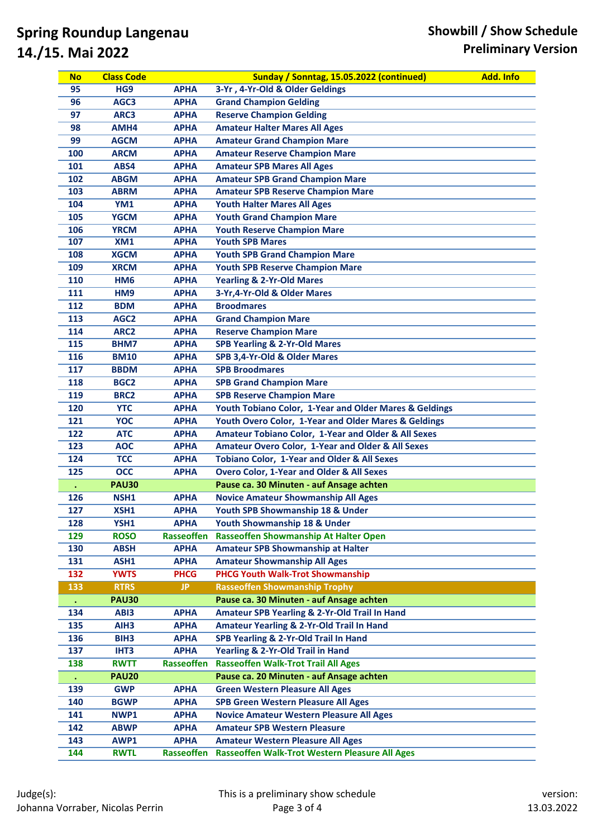| Sunday / Sonntag, 15.05.2022 (continued)<br><b>Class Code</b><br><b>No</b>                     | <b>Add. Info</b> |
|------------------------------------------------------------------------------------------------|------------------|
| HG9<br>3-Yr, 4-Yr-Old & Older Geldings<br>95<br><b>APHA</b>                                    |                  |
| <b>Grand Champion Gelding</b><br>96<br><b>APHA</b><br>AGC3                                     |                  |
| <b>Reserve Champion Gelding</b><br>97<br>ARC3<br><b>APHA</b>                                   |                  |
| <b>Amateur Halter Mares All Ages</b><br>98<br>AMH4<br><b>APHA</b>                              |                  |
| 99<br><b>AGCM</b><br><b>APHA</b><br><b>Amateur Grand Champion Mare</b>                         |                  |
| <b>ARCM</b><br><b>Amateur Reserve Champion Mare</b><br>100<br><b>APHA</b>                      |                  |
| <b>Amateur SPB Mares All Ages</b><br>101<br>ABS4<br><b>APHA</b>                                |                  |
| <b>Amateur SPB Grand Champion Mare</b><br>102<br><b>ABGM</b><br><b>APHA</b>                    |                  |
| 103<br><b>Amateur SPB Reserve Champion Mare</b><br><b>ABRM</b><br><b>APHA</b>                  |                  |
| <b>Youth Halter Mares All Ages</b><br>104<br>YM1<br><b>APHA</b>                                |                  |
| <b>Youth Grand Champion Mare</b><br>105<br><b>YGCM</b><br><b>APHA</b>                          |                  |
| <b>Youth Reserve Champion Mare</b><br>106<br><b>YRCM</b><br><b>APHA</b>                        |                  |
| <b>Youth SPB Mares</b><br>107<br>XM1<br><b>APHA</b>                                            |                  |
| <b>XGCM</b><br>108<br><b>APHA</b><br><b>Youth SPB Grand Champion Mare</b>                      |                  |
| <b>Youth SPB Reserve Champion Mare</b><br>109<br><b>XRCM</b><br><b>APHA</b>                    |                  |
| <b>Yearling &amp; 2-Yr-Old Mares</b><br>110<br><b>APHA</b><br>HM <sub>6</sub>                  |                  |
| 3-Yr, 4-Yr-Old & Older Mares<br>111<br>HM9<br><b>APHA</b>                                      |                  |
| 112<br><b>Broodmares</b><br><b>APHA</b><br><b>BDM</b>                                          |                  |
| 113<br>AGC <sub>2</sub><br><b>APHA</b><br><b>Grand Champion Mare</b>                           |                  |
| <b>Reserve Champion Mare</b><br>114<br>ARC <sub>2</sub><br><b>APHA</b>                         |                  |
| <b>SPB Yearling &amp; 2-Yr-Old Mares</b><br>115<br>BHM7<br><b>APHA</b>                         |                  |
| SPB 3,4-Yr-Old & Older Mares<br>116<br><b>BM10</b><br><b>APHA</b>                              |                  |
| <b>SPB Broodmares</b><br>117<br><b>BBDM</b><br><b>APHA</b>                                     |                  |
| 118<br>BGC <sub>2</sub><br><b>APHA</b><br><b>SPB Grand Champion Mare</b>                       |                  |
| <b>SPB Reserve Champion Mare</b><br>119<br><b>BRC2</b><br><b>APHA</b>                          |                  |
| <b>YTC</b><br>Youth Tobiano Color, 1-Year and Older Mares & Geldings<br>120<br><b>APHA</b>     |                  |
| Youth Overo Color, 1-Year and Older Mares & Geldings<br>121<br><b>YOC</b><br><b>APHA</b>       |                  |
| Amateur Tobiano Color, 1-Year and Older & All Sexes<br>122<br><b>ATC</b><br><b>APHA</b>        |                  |
| 123<br><b>AOC</b><br>Amateur Overo Color, 1-Year and Older & All Sexes<br><b>APHA</b>          |                  |
| <b>TCC</b><br>Tobiano Color, 1-Year and Older & All Sexes<br>124<br><b>APHA</b>                |                  |
| <b>Overo Color, 1-Year and Older &amp; All Sexes</b><br><b>OCC</b><br>125<br><b>APHA</b>       |                  |
| Pause ca. 30 Minuten - auf Ansage achten<br><b>PAU30</b>                                       |                  |
| <b>APHA</b><br>126<br>NSH1<br><b>Novice Amateur Showmanship All Ages</b>                       |                  |
| 127<br>XSH1<br><b>APHA</b><br>Youth SPB Showmanship 18 & Under                                 |                  |
| <b>APHA</b><br>128<br>YSH1<br>Youth Showmanship 18 & Under                                     |                  |
| <b>Rasseoffen</b><br>Rasseoffen Showmanship At Halter Open<br>129<br><b>ROSO</b>               |                  |
| <b>Amateur SPB Showmanship at Halter</b><br>130<br><b>ABSH</b><br><b>APHA</b>                  |                  |
| <b>Amateur Showmanship All Ages</b><br>131<br>ASH1<br><b>APHA</b>                              |                  |
| 132<br><b>YWTS</b><br><b>PHCG Youth Walk-Trot Showmanship</b><br><b>PHCG</b>                   |                  |
| 133<br><b>RTRS</b><br>JP.<br><b>Rasseoffen Showmanship Trophy</b>                              |                  |
| Pause ca. 30 Minuten - auf Ansage achten<br><b>PAU30</b><br>$\bullet$                          |                  |
| <b>APHA</b><br>Amateur SPB Yearling & 2-Yr-Old Trail In Hand<br>134<br>AB <sub>13</sub>        |                  |
| <b>Amateur Yearling &amp; 2-Yr-Old Trail In Hand</b><br>135<br>AIH <sub>3</sub><br><b>APHA</b> |                  |
| SPB Yearling & 2-Yr-Old Trail In Hand<br>136<br>BIH <sub>3</sub><br><b>APHA</b>                |                  |
| Yearling & 2-Yr-Old Trail in Hand<br>137<br>IHT3<br><b>APHA</b>                                |                  |
| <b>Rasseoffen Walk-Trot Trail All Ages</b><br><b>RWTT</b><br><b>Rasseoffen</b><br>138          |                  |
| Pause ca. 20 Minuten - auf Ansage achten<br><b>PAU20</b><br>$\bullet$                          |                  |
| <b>APHA</b><br><b>Green Western Pleasure All Ages</b><br>139<br><b>GWP</b>                     |                  |
| <b>BGWP</b><br><b>APHA</b><br><b>SPB Green Western Pleasure All Ages</b><br>140                |                  |
| 141<br>NWP1<br><b>APHA</b><br><b>Novice Amateur Western Pleasure All Ages</b>                  |                  |
| <b>Amateur SPB Western Pleasure</b><br>142<br><b>ABWP</b><br><b>APHA</b>                       |                  |
|                                                                                                |                  |
| 143<br><b>APHA</b><br><b>Amateur Western Pleasure All Ages</b><br>AWP1                         |                  |